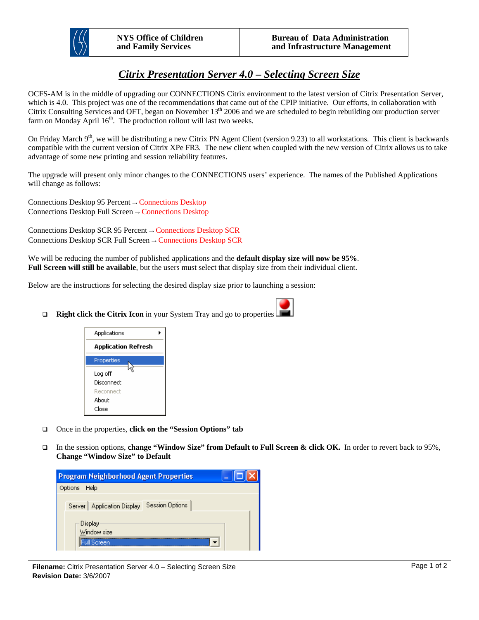

## *Citrix Presentation Server 4.0 – Selecting Screen Size*

OCFS-AM is in the middle of upgrading our CONNECTIONS Citrix environment to the latest version of Citrix Presentation Server, which is 4.0. This project was one of the recommendations that came out of the CPIP initiative. Our efforts, in collaboration with Citrix Consulting Services and OFT, began on November 13<sup>th</sup> 2006 and we are scheduled to begin rebuilding our production server farm on Monday April  $16<sup>th</sup>$ . The production rollout will last two weeks.

On Friday March  $9<sup>th</sup>$ , we will be distributing a new Citrix PN Agent Client (version 9.23) to all workstations. This client is backwards compatible with the current version of Citrix XPe FR3. The new client when coupled with the new version of Citrix allows us to take advantage of some new printing and session reliability features.

The upgrade will present only minor changes to the CONNECTIONS users' experience. The names of the Published Applications will change as follows:

Connections Desktop 95 Percent → Connections Desktop Connections Desktop Full Screen → Connections Desktop

Connections Desktop SCR 95 Percent → Connections Desktop SCR Connections Desktop SCR Full Screen → Connections Desktop SCR

We will be reducing the number of published applications and the **default display size will now be 95%**. **Full Screen will still be available**, but the users must select that display size from their individual client.

Below are the instructions for selecting the desired display size prior to launching a session:



**Right click the Citrix Icon** in your System Tray and go to properties



- □ Once in the properties, **click on the "Session Options" tab**
- In the session options, **change "Window Size" from Default to Full Screen & click OK.** In order to revert back to 95%, **Change "Window Size" to Default**

| <b>Program Neighborhood Agent Properties</b><br>- |                                                                                            |  |  |
|---------------------------------------------------|--------------------------------------------------------------------------------------------|--|--|
| Options Help                                      |                                                                                            |  |  |
|                                                   | Server   Application Display   Session Options<br>·Display——<br>Window size<br>Full Screen |  |  |

**Filename:** Citrix Presentation Server 4.0 – Selecting Screen Size **Revision Date:** 3/6/2007